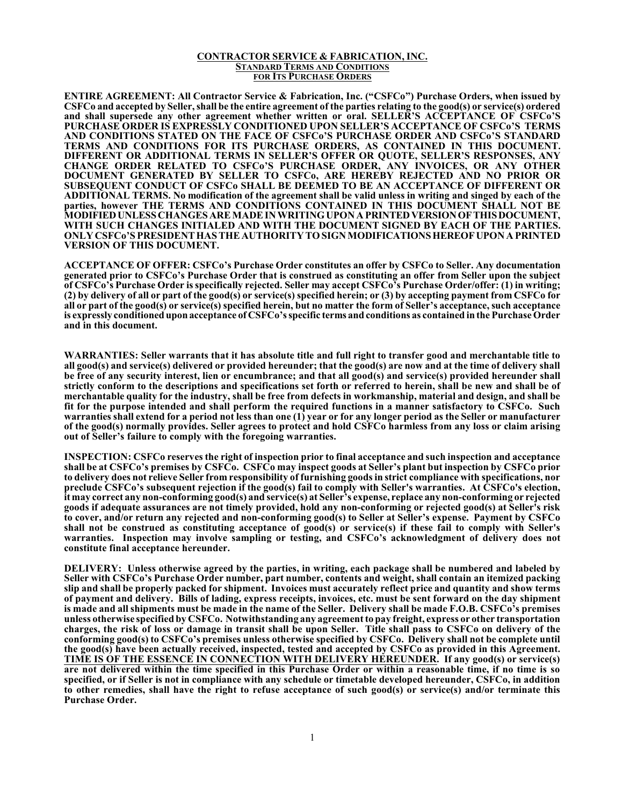## **CONTRACTOR SERVICE & FABRICATION, INC. STANDARD TERMS AND CONDITIONS FOR ITS PURCHASE ORDERS**

**ENTIRE AGREEMENT: All Contractor Service & Fabrication, Inc. ("CSFCo") Purchase Orders, when issued by CSFCo and accepted by Seller, shall be the entire agreement of the parties relating to the good(s) or service(s) ordered and shall supersede any other agreement whether written or oral. SELLER'S ACCEPTANCE OF CSFCo'S PURCHASE ORDER IS EXPRESSLY CONDITIONED UPON SELLER'S ACCEPTANCE OF CSFCo'S TERMS AND CONDITIONS STATED ON THE FACE OF CSFCo'S PURCHASE ORDER AND CSFCo'S STANDARD TERMS AND CONDITIONS FOR ITS PURCHASE ORDERS, AS CONTAINED IN THIS DOCUMENT. DIFFERENT OR ADDITIONAL TERMS IN SELLER'S OFFER OR QUOTE, SELLER'S RESPONSES, ANY CHANGE ORDER RELATED TO CSFCo'S PURCHASE ORDER, ANY INVOICES, OR ANY OTHER DOCUMENT GENERATED BY SELLER TO CSFCo, ARE HEREBY REJECTED AND NO PRIOR OR SUBSEQUENT CONDUCT OF CSFCo SHALL BE DEEMED TO BE AN ACCEPTANCE OF DIFFERENT OR ADDITIONAL TERMS. No modification of the agreement shall be valid unless in writing and singed by each of the parties, however THE TERMS AND CONDITIONS CONTAINED IN THIS DOCUMENT SHALL NOT BE MODIFIEDUNLESS CHANGES ARE MADE IN WRITINGUPON A PRINTEDVERSIONOFTHISDOCUMENT, WITH SUCH CHANGES INITIALED AND WITH THE DOCUMENT SIGNED BY EACH OF THE PARTIES. ONLY CSFCo'S PRESIDENT HAS THE AUTHORITY TOSIGN MODIFICATIONSHEREOFUPON A PRINTED VERSION OF THIS DOCUMENT.** 

**ACCEPTANCE OF OFFER: CSFCo's Purchase Order constitutes an offer by CSFCo to Seller. Any documentation generated prior to CSFCo's Purchase Order that is construed as constituting an offer from Seller upon the subject of CSFCo's Purchase Order is specifically rejected. Seller may accept CSFCo's Purchase Order/offer: (1) in writing; (2) by delivery of all or part of the good(s) or service(s) specified herein; or (3) by accepting payment from CSFCo for all or part of the good(s) or service(s) specified herein, but no matter the form of Seller's acceptance, such acceptance is expressly conditioned uponacceptance of CSFCo's specific terms and conditions as contained in the Purchase Order and in this document.**

**WARRANTIES: Seller warrants that it has absolute title and full right to transfer good and merchantable title to all good(s) and service(s) delivered or provided hereunder; that the good(s) are now and at the time of delivery shall be free of any security interest, lien or encumbrance; and that all good(s) and service(s) provided hereunder shall strictly conform to the descriptions and specifications set forth or referred to herein, shall be new and shall be of merchantable quality for the industry, shall be free from defects in workmanship, material and design, and shall be fit for the purpose intended and shall perform the required functions in a manner satisfactory to CSFCo. Such warranties shall extend for a period not less than one (1) year or for any longer period as the Seller or manufacturer of the good(s) normally provides. Seller agrees to protect and hold CSFCo harmless from any loss or claim arising out of Seller's failure to comply with the foregoing warranties.**

**INSPECTION: CSFCo reserves the right of inspection prior to final acceptance and such inspection and acceptance shall be at CSFCo's premises by CSFCo. CSFCo may inspect goods at Seller's plant but inspection by CSFCo prior to delivery does not relieve Seller from responsibility of furnishing goodsin strict compliance with specifications, nor preclude CSFCo's subsequent rejection if the good(s) fail to comply with Seller's warranties. At CSFCo's election, it may correct any non-conforming good(s) and service(s) at Seller's expense, replace any non-conforming or rejected goods if adequate assurances are not timely provided, hold any non-conforming or rejected good(s) at Seller's risk to cover, and/or return any rejected and non-conforming good(s) to Seller at Seller's expense. Payment by CSFCo shall not be construed as constituting acceptance of good(s) or service(s) if these fail to comply with Seller's warranties. Inspection may involve sampling or testing, and CSFCo's acknowledgment of delivery does not constitute final acceptance hereunder.**

**DELIVERY: Unless otherwise agreed by the parties, in writing, each package shall be numbered and labeled by Seller with CSFCo's Purchase Order number, part number, contents and weight, shall contain an itemized packing slip and shall be properly packed for shipment. Invoices must accurately reflect price and quantity and show terms of payment and delivery. Bills of lading, express receipts, invoices, etc. must be sent forward on the day shipment is made and all shipments must be made in the name of the Seller. Delivery shall be made F.O.B. CSFCo's premises unless otherwise specified by CSFCo. Notwithstanding any agreement to pay freight, express or other transportation charges, the risk of loss or damage in transit shall be upon Seller. Title shall pass to CSFCo on delivery of the conforming good(s) to CSFCo's premises unless otherwise specified by CSFCo. Delivery shall not be complete until the good(s) have been actually received, inspected, tested and accepted by CSFCo as provided in this Agreement. TIME IS OF THE ESSENCE IN CONNECTION WITH DELIVERY HEREUNDER. If any good(s) or service(s) are not delivered within the time specified in this Purchase Order or within a reasonable time, if no time is so specified, or if Seller is not in compliance with any schedule or timetable developed hereunder, CSFCo, in addition to other remedies, shall have the right to refuse acceptance of such good(s) or service(s) and/or terminate this Purchase Order.**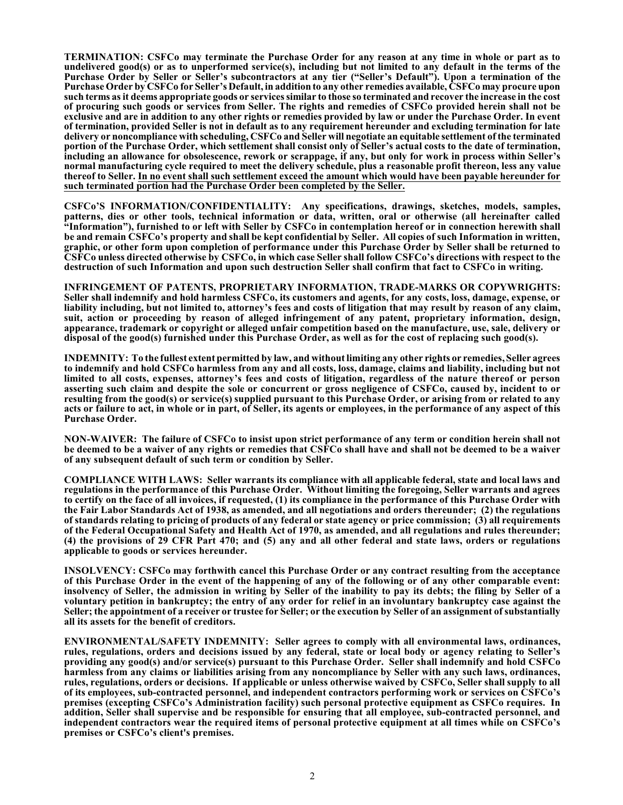**TERMINATION: CSFCo may terminate the Purchase Order for any reason at any time in whole or part as to undelivered good(s) or as to unperformed service(s), including but not limited to any default in the terms of the Purchase Order by Seller or Seller's subcontractors at any tier ("Seller's Default"). Upon a termination of the Purchase Order by CSFCo for Seller's Default, in addition to any other remedies available, CSFCo may procure upon such terms as it deems appropriate goods or services similar to those so terminated and recover the increase in the cost of procuring such goods or services from Seller. The rights and remedies of CSFCo provided herein shall not be exclusive and are in addition to any other rights or remedies provided by law or under the Purchase Order. In event of termination, provided Seller is not in default as to any requirement hereunder and excluding termination for late delivery or noncompliance with scheduling, CSFCo and Seller will negotiate an equitable settlement of the terminated portion of the Purchase Order, which settlement shall consist only of Seller's actual costs to the date of termination, including an allowance for obsolescence, rework or scrappage, if any, but only for work in process within Seller's normal manufacturing cycle required to meet the delivery schedule, plus a reasonable profit thereon, less any value thereof to Seller. In no event shall such settlement exceed the amount which would have been payable hereunder for such terminated portion had the Purchase Order been completed by the Seller.**

**CSFCo'S INFORMATION/CONFIDENTIALITY: Any specifications, drawings, sketches, models, samples, patterns, dies or other tools, technical information or data, written, oral or otherwise (all hereinafter called "Information"), furnished to or left with Seller by CSFCo in contemplation hereof or in connection herewith shall be and remain CSFCo's property and shall be kept confidential by Seller. All copies of such Information in written, graphic, or other form upon completion of performance under this Purchase Order by Seller shall be returned to CSFCo unless directed otherwise by CSFCo, in which case Seller shall follow CSFCo's directions with respect to the destruction of such Information and upon such destruction Seller shall confirm that fact to CSFCo in writing.**

**INFRINGEMENT OF PATENTS, PROPRIETARY INFORMATION, TRADE-MARKS OR COPYWRIGHTS: Seller shall indemnify and hold harmless CSFCo, its customers and agents, for any costs, loss, damage, expense, or liability including, but not limited to, attorney's fees and costs of litigation that may result by reason of any claim, suit, action or proceeding by reason of alleged infringement of any patent, proprietary information, design, appearance, trademark or copyright or alleged unfair competition based on the manufacture, use, sale, delivery or disposal of the good(s) furnished under this Purchase Order, as well as for the cost of replacing such good(s).**

**INDEMNITY: To the fullest extent permitted by law, and without limiting any other rights or remedies, Seller agrees to indemnify and hold CSFCo harmless from any and all costs, loss, damage, claims and liability, including but not limited to all costs, expenses, attorney's fees and costs of litigation, regardless of the nature thereof or person asserting such claim and despite the sole or concurrent or gross negligence of CSFCo, caused by, incident to or resulting from the good(s) or service(s) supplied pursuant to this Purchase Order, or arising from or related to any acts or failure to act, in whole or in part, of Seller, its agents or employees, in the performance of any aspect of this Purchase Order.**

**NON-WAIVER: The failure of CSFCo to insist upon strict performance of any term or condition herein shall not be deemed to be a waiver of any rights or remedies that CSFCo shall have and shall not be deemed to be a waiver of any subsequent default of such term or condition by Seller.**

**COMPLIANCE WITH LAWS: Seller warrants its compliance with all applicable federal, state and local laws and regulations in the performance of this Purchase Order. Without limiting the foregoing, Seller warrants and agrees to certify on the face of all invoices, if requested, (1) its compliance in the performance of this Purchase Order with the Fair Labor Standards Act of 1938, as amended, and all negotiations and orders thereunder; (2) the regulations of standards relating to pricing of products of any federal or state agency or price commission; (3) all requirements of the Federal Occupational Safety and Health Act of 1970, as amended, and all regulations and rules thereunder; (4) the provisions of 29 CFR Part 470; and (5) any and all other federal and state laws, orders or regulations applicable to goods or services hereunder.**

**INSOLVENCY: CSFCo may forthwith cancel this Purchase Order or any contract resulting from the acceptance of this Purchase Order in the event of the happening of any of the following or of any other comparable event:** insolvency of Seller, the admission in writing by Seller of the inability to pay its debts; the filing by Seller of a **voluntary petition in bankruptcy; the entry of any order for relief in an involuntary bankruptcy case against the Seller; the appointment of a receiver or trustee for Seller; or the execution by Seller of an assignment of substantially all its assets for the benefit of creditors.**

**ENVIRONMENTAL/SAFETY INDEMNITY: Seller agrees to comply with all environmental laws, ordinances, rules, regulations, orders and decisions issued by any federal, state or local body or agency relating to Seller's providing any good(s) and/or service(s) pursuant to this Purchase Order. Seller shall indemnify and hold CSFCo harmless from any claims or liabilities arising from any noncompliance by Seller with any such laws, ordinances, rules, regulations, orders or decisions. If applicable or unless otherwise waived by CSFCo, Seller shall supply to all of its employees, sub-contracted personnel, and independent contractors performing work or services on CSFCo's premises (excepting CSFCo's Administration facility) such personal protective equipment as CSFCo requires. In addition, Seller shall supervise and be responsible for ensuring that all employee, sub-contracted personnel, and independent contractors wear the required items of personal protective equipment at all times while on CSFCo's premises or CSFCo's client's premises.**